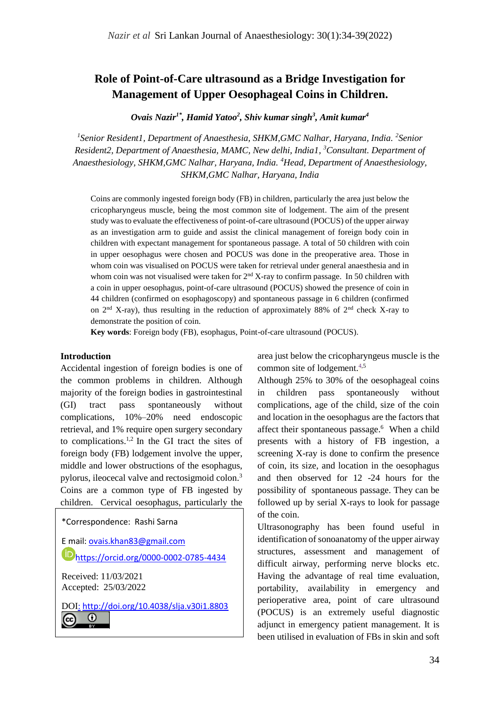# **Role of Point-of-Care ultrasound as a Bridge Investigation for Management of Upper Oesophageal Coins in Children.**

*Ovais Nazir1\*, Hamid Yatoo<sup>2</sup> , Shiv kumar singh<sup>3</sup> , Amit kumar<sup>4</sup>*

<sup>1</sup> Senior Resident1, Department of Anaesthesia, SHKM, GMC Nalhar, Haryana, India. <sup>2</sup> Senior *Resident2, Department of Anaesthesia, MAMC, New delhi, India1, <sup>3</sup>Consultant. Department of Anaesthesiology, SHKM,GMC Nalhar, Haryana, India. <sup>4</sup>Head, Department of Anaesthesiology, SHKM,GMC Nalhar, Haryana, India*

Coins are commonly ingested foreign body (FB) in children, particularly the area just below the cricopharyngeus muscle, being the most common site of lodgement. The aim of the present study was to evaluate the effectiveness of point-of-care ultrasound (POCUS) of the upper airway as an investigation arm to guide and assist the clinical management of foreign body coin in children with expectant management for spontaneous passage. A total of 50 children with coin in upper oesophagus were chosen and POCUS was done in the preoperative area. Those in whom coin was visualised on POCUS were taken for retrieval under general anaesthesia and in whom coin was not visualised were taken for  $2<sup>nd</sup> X-ray$  to confirm passage. In 50 children with a coin in upper oesophagus, point-of-care ultrasound (POCUS) showed the presence of coin in 44 children (confirmed on esophagoscopy) and spontaneous passage in 6 children (confirmed on  $2<sup>nd</sup> X-ray$ ), thus resulting in the reduction of approximately 88% of  $2<sup>nd</sup>$  check X-ray to demonstrate the position of coin.

**Key words**: Foreign body (FB), esophagus, Point-of-care ultrasound (POCUS).

#### **Introduction**

Accidental ingestion of foreign bodies is one of the common problems in children. Although majority of the foreign bodies in gastrointestinal (GI) tract pass spontaneously without complications, 10%–20% need endoscopic retrieval, and 1% require open surgery secondary to complications.1,2 In the GI tract the sites of foreign body (FB) lodgement involve the upper, middle and lower obstructions of the esophagus, pylorus, ileocecal valve and rectosigmoid colon.<sup>3</sup> Coins are a common type of FB ingested by children. Cervical oesophagus, particularly the

\*Correspondence: Rashi Sarna

E mail[: ovais.khan83@gmail.com](mailto:ovais.khan83@gmail.com) [https://orcid.org/0000-0002-0785-4434](https://orcid.org/0000-0002-0785-44334)

Received: 11/03/2021 Accepted: 25/03/2022

DOI: <http://doi.org/10.4038/slja.v30i1.8803> $_{\rm (cc)}$  $\odot$ 

area just below the cricopharyngeus muscle is the common site of lodgement. $4,5$ 

Although 25% to 30% of the oesophageal coins in children pass spontaneously without complications, age of the child, size of the coin and location in the oesophagus are the factors that affect their spontaneous passage.<sup>6</sup> When a child presents with a history of FB ingestion, a screening X-ray is done to confirm the presence of coin, its size, and location in the oesophagus and then observed for 12 -24 hours for the possibility of spontaneous passage. They can be followed up by serial X-rays to look for passage of the coin.

Ultrasonography has been found useful in identification of sonoanatomy of the upper airway structures, assessment and management of difficult airway, performing nerve blocks etc. Having the advantage of real time evaluation, portability, availability in emergency and perioperative area, point of care ultrasound (POCUS) is an extremely useful diagnostic adjunct in emergency patient management. It is been utilised in evaluation of FBs in skin and soft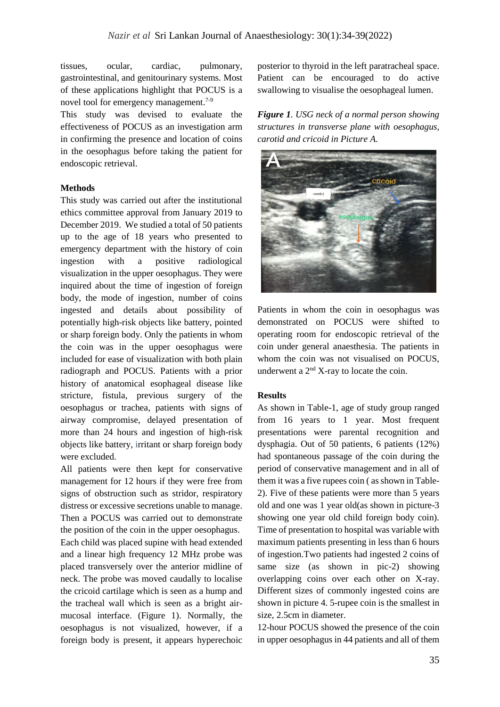tissues, ocular, cardiac, pulmonary, gastrointestinal, and genitourinary systems. Most of these applications highlight that POCUS is a novel tool for emergency management.<sup>7-9</sup>

This study was devised to evaluate the effectiveness of POCUS as an investigation arm in confirming the presence and location of coins in the oesophagus before taking the patient for endoscopic retrieval.

## **Methods**

This study was carried out after the institutional ethics committee approval from January 2019 to December 2019. We studied a total of 50 patients up to the age of 18 years who presented to emergency department with the history of coin ingestion with a positive radiological visualization in the upper oesophagus. They were inquired about the time of ingestion of foreign body, the mode of ingestion, number of coins ingested and details about possibility of potentially high-risk objects like battery, pointed or sharp foreign body. Only the patients in whom the coin was in the upper oesophagus were included for ease of visualization with both plain radiograph and POCUS. Patients with a prior history of anatomical esophageal disease like stricture, fistula, previous surgery of the oesophagus or trachea, patients with signs of airway compromise, delayed presentation of more than 24 hours and ingestion of high-risk objects like battery, irritant or sharp foreign body were excluded.

All patients were then kept for conservative management for 12 hours if they were free from signs of obstruction such as stridor, respiratory distress or excessive secretions unable to manage. Then a POCUS was carried out to demonstrate the position of the coin in the upper oesophagus. Each child was placed supine with head extended and a linear high frequency 12 MHz probe was placed transversely over the anterior midline of neck. The probe was moved caudally to localise the cricoid cartilage which is seen as a hump and the tracheal wall which is seen as a bright air-

mucosal interface. (Figure 1). Normally, the oesophagus is not visualized, however, if a foreign body is present, it appears hyperechoic

posterior to thyroid in the left paratracheal space. Patient can be encouraged to do active swallowing to visualise the oesophageal lumen.

*Figure 1. USG neck of a normal person showing structures in transverse plane with oesophagus, carotid and cricoid in Picture A.*



Patients in whom the coin in oesophagus was demonstrated on POCUS were shifted to operating room for endoscopic retrieval of the coin under general anaesthesia. The patients in whom the coin was not visualised on POCUS, underwent a  $2<sup>nd</sup> X$ -ray to locate the coin.

#### **Results**

As shown in Table-1, age of study group ranged from 16 years to 1 year. Most frequent presentations were parental recognition and dysphagia. Out of 50 patients, 6 patients (12%) had spontaneous passage of the coin during the period of conservative management and in all of them it was a five rupees coin ( as shown in Table-2). Five of these patients were more than 5 years old and one was 1 year old(as shown in picture-3 showing one year old child foreign body coin). Time of presentation to hospital was variable with maximum patients presenting in less than 6 hours of ingestion.Two patients had ingested 2 coins of same size (as shown in pic-2) showing overlapping coins over each other on X-ray. Different sizes of commonly ingested coins are shown in picture 4. 5-rupee coin is the smallest in size, 2.5cm in diameter.

12-hour POCUS showed the presence of the coin in upper oesophagus in 44 patients and all of them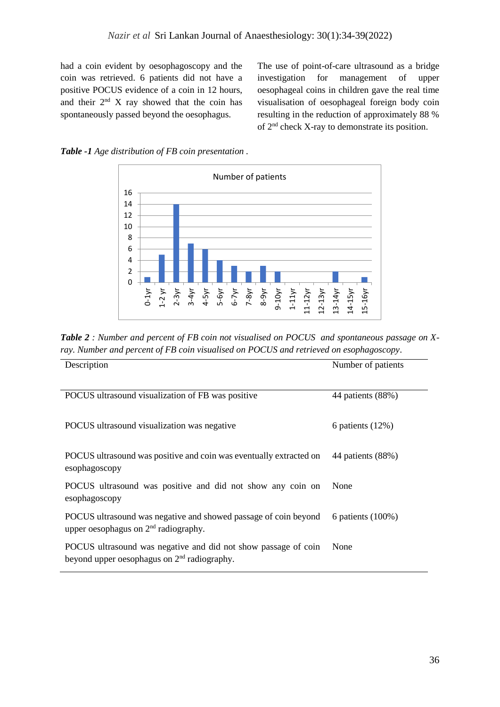had a coin evident by oesophagoscopy and the coin was retrieved. 6 patients did not have a positive POCUS evidence of a coin in 12 hours, and their  $2<sup>nd</sup> X$  ray showed that the coin has spontaneously passed beyond the oesophagus.

The use of point-of-care ultrasound as a bridge investigation for management of upper oesophageal coins in children gave the real time visualisation of oesophageal foreign body coin resulting in the reduction of approximately 88 % of 2nd check X-ray to demonstrate its position.





*Table 2 : Number and percent of FB coin not visualised on POCUS and spontaneous passage on Xray. Number and percent of FB coin visualised on POCUS and retrieved on esophagoscopy*.

| Description                                                                                                               | Number of patients   |
|---------------------------------------------------------------------------------------------------------------------------|----------------------|
|                                                                                                                           |                      |
| POCUS ultrasound visualization of FB was positive                                                                         | 44 patients (88%)    |
| POCUS ultrasound visualization was negative                                                                               | 6 patients $(12%)$   |
| POCUS ultrasound was positive and coin was eventually extracted on<br>esophagoscopy                                       | 44 patients (88%)    |
| POCUS ultrasound was positive and did not show any coin on<br>esophagoscopy                                               | None                 |
| POCUS ultrasound was negative and showed passage of coin beyond<br>upper oesophagus on 2 <sup>nd</sup> radiography.       | 6 patients $(100\%)$ |
| POCUS ultrasound was negative and did not show passage of coin<br>beyond upper oesophagus on 2 <sup>nd</sup> radiography. | None                 |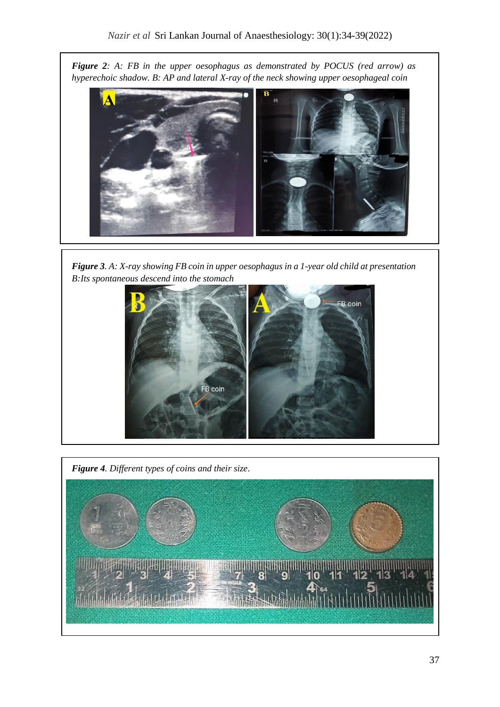*Figure 2: A: FB in the upper oesophagus as demonstrated by POCUS (red arrow) as hyperechoic shadow. B: AP and lateral X-ray of the neck showing upper oesophageal coin* 



*Figure 3. A: X-ray showing FB coin in upper oesophagus in a 1-year old child at presentation B:Its spontaneous descend into the stomach*



*Figure 4. Different types of coins and their size*.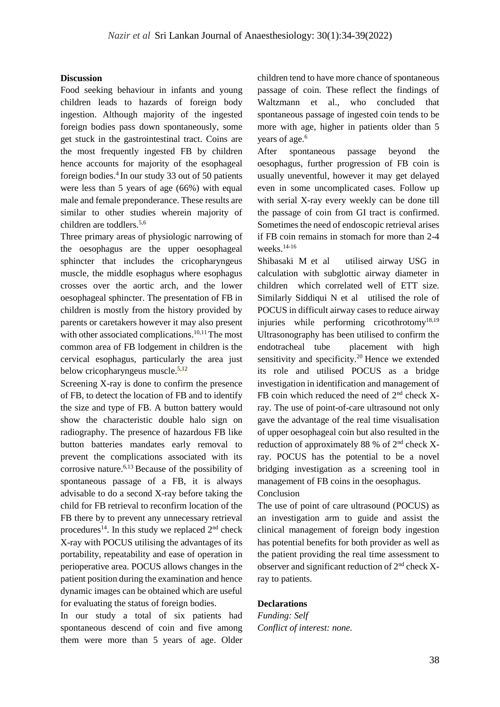#### **Discussion**

Food seeking behaviour in infants and young children leads to hazards of foreign body ingestion. Although majority of the ingested foreign bodies pass down spontaneously, some get stuck in the gastrointestinal tract. Coins are the most frequently ingested FB by children hence accounts for majority of the esophageal foreign bodies. <sup>4</sup>In our study 33 out of 50 patients were less than 5 years of age (66%) with equal male and female preponderance. These results are similar to other studies wherein majority of children are toddlers.5,6

Three primary areas of physiologic narrowing of the oesophagus are the upper oesophageal sphincter that includes the cricopharyngeus muscle, the middle esophagus where esophagus crosses over the aortic arch, and the lower oesophageal sphincter. The presentation of FB in children is mostly from the history provided by parents or caretakers however it may also present with other associated complications.<sup>10,11</sup>The most common area of FB lodgement in children is the cervical esophagus, particularly the area just below cricopharyngeus muscle. $5,12$ 

Screening X-ray is done to confirm the presence of FB, to detect the location of FB and to identify the size and type of FB. A button battery would show the characteristic double halo sign on radiography. The presence of hazardous FB like button batteries mandates early removal to prevent the complications associated with its corrosive nature.6,13 Because of the possibility of spontaneous passage of a FB, it is always advisable to do a second X-ray before taking the child for FB retrieval to reconfirm location of the FB there by to prevent any unnecessary retrieval procedures<sup>14</sup>. In this study we replaced  $2<sup>nd</sup>$  check X-ray with POCUS utilising the advantages of its portability, repeatability and ease of operation in perioperative area. POCUS allows changes in the patient position during the examination and hence dynamic images can be obtained which are useful for evaluating the status of foreign bodies.

In our study a total of six patients had spontaneous descend of coin and five among them were more than 5 years of age. Older

children tend to have more chance of spontaneous passage of coin. These reflect the findings of Waltzmann et al., who concluded that spontaneous passage of ingested coin tends to be more with age, higher in patients older than 5 years of age.<sup>6</sup>

After spontaneous passage beyond the oesophagus, further progression of FB coin is usually uneventful, however it may get delayed even in some uncomplicated cases. Follow up with serial X-ray every weekly can be done till the passage of coin from GI tract is confirmed. Sometimes the need of endoscopic retrieval arises if FB coin remains in stomach for more than 2-4 weeks.14-16

[Shibasaki M](https://www.ncbi.nlm.nih.gov/pubmed/?term=Shibasaki%20M%5BAuthor%5D&cauthor=true&cauthor_uid=20808208) et al utilised airway USG in calculation with subglottic airway diameter in children which correlated well of ETT size. Similarly Siddiqui N et al utilised the role of POCUS in difficult airway cases to reduce airway injuries while performing cricothrotomy<sup>18,19</sup> Ultrasonography has been utilised to confirm the endotracheal tube placement with high sensitivity and specificity.<sup>20</sup> Hence we extended its role and utilised POCUS as a bridge investigation in identification and management of FB coin which reduced the need of  $2<sup>nd</sup>$  check Xray. The use of point-of-care ultrasound not only gave the advantage of the real time visualisation of upper oesophageal coin but also resulted in the reduction of approximately 88 % of  $2<sup>nd</sup>$  check Xray. POCUS has the potential to be a novel bridging investigation as a screening tool in management of FB coins in the oesophagus.

Conclusion

The use of point of care ultrasound (POCUS) as an investigation arm to guide and assist the clinical management of foreign body ingestion has potential benefits for both provider as well as the patient providing the real time assessment to observer and significant reduction of  $2<sup>nd</sup>$  check Xray to patients.

## **Declarations**

*Funding: Self Conflict of interest: none.*